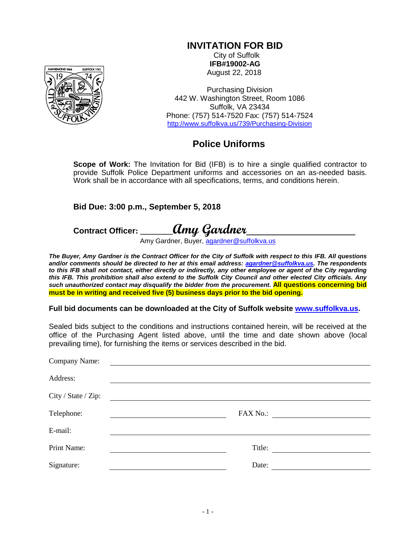## **INVITATION FOR BID**

City of Suffolk **IFB#19002-AG** August 22, 2018

Purchasing Division 442 W. Washington Street, Room 1086 Suffolk, VA 23434 Phone: (757) 514-7520 Fax: (757) 514-7524 <http://www.suffolkva.us/739/Purchasing-Division>

## **Police Uniforms**

**Scope of Work:** The Invitation for Bid (IFB) is to hire a single qualified contractor to provide Suffolk Police Department uniforms and accessories on an as-needed basis. Work shall be in accordance with all specifications, terms, and conditions herein.

## **Bid Due: 3:00 p.m., September 5, 2018**

# **Contract Officer: \_\_\_\_\_\_\_\_Amy Gardner\_\_\_\_\_\_\_\_\_\_\_\_\_\_\_\_**

Amy Gardner, Buyer, [agardner@suffolkva.us](mailto:agardner@suffolkva.us)

*The Buyer, Amy Gardner is the Contract Officer for the City of Suffolk with respect to this IFB. All questions and/or comments should be directed to her at this email address: [agardner@suffolkva.us.](mailto:agardner@suffolkva.us) The respondents to this IFB shall not contact, either directly or indirectly, any other employee or agent of the City regarding this IFB. This prohibition shall also extend to the Suffolk City Council and other elected City officials. Any such unauthorized contact may disqualify the bidder from the procurement***. All questions concerning bid must be in writing and received five (5) business days prior to the bid opening.**

**Full bid documents can be downloaded at the City of Suffolk website [www.suffolkva.us.](http://www.suffolkva.us/)**

Sealed bids subject to the conditions and instructions contained herein, will be received at the office of the Purchasing Agent listed above, until the time and date shown above (local prevailing time), for furnishing the items or services described in the bid.

| Company Name:       |       |          |
|---------------------|-------|----------|
| Address:            |       |          |
| City / State / Zip: |       |          |
| Telephone:          |       | FAX No.: |
| E-mail:             |       |          |
| Print Name:         |       | Title:   |
| Signature:          | Date: |          |

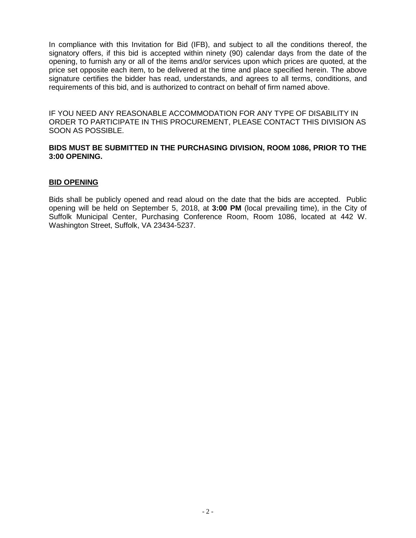In compliance with this Invitation for Bid (IFB), and subject to all the conditions thereof, the signatory offers, if this bid is accepted within ninety (90) calendar days from the date of the opening, to furnish any or all of the items and/or services upon which prices are quoted, at the price set opposite each item, to be delivered at the time and place specified herein. The above signature certifies the bidder has read, understands, and agrees to all terms, conditions, and requirements of this bid, and is authorized to contract on behalf of firm named above.

IF YOU NEED ANY REASONABLE ACCOMMODATION FOR ANY TYPE OF DISABILITY IN ORDER TO PARTICIPATE IN THIS PROCUREMENT, PLEASE CONTACT THIS DIVISION AS SOON AS POSSIBLE.

### **BIDS MUST BE SUBMITTED IN THE PURCHASING DIVISION, ROOM 1086, PRIOR TO THE 3:00 OPENING.**

### **BID OPENING**

Bids shall be publicly opened and read aloud on the date that the bids are accepted. Public opening will be held on September 5, 2018, at **3:00 PM** (local prevailing time), in the City of Suffolk Municipal Center, Purchasing Conference Room, Room 1086, located at 442 W. Washington Street, Suffolk, VA 23434-5237.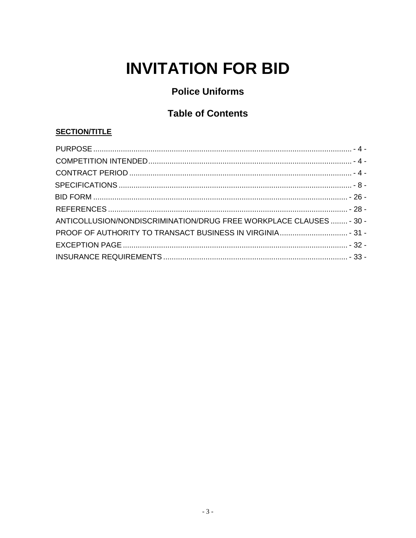# **INVITATION FOR BID**

# **Police Uniforms**

## **Table of Contents**

## **SECTION/TITLE**

| ANTICOLLUSION/NONDISCRIMINATION/DRUG FREE WORKPLACE CLAUSES  - 30 - |  |
|---------------------------------------------------------------------|--|
|                                                                     |  |
|                                                                     |  |
|                                                                     |  |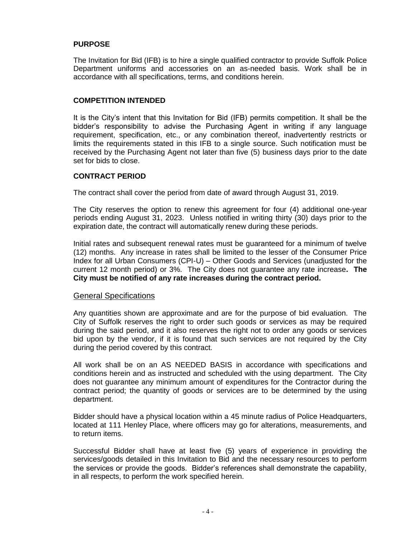## <span id="page-3-0"></span>**PURPOSE**

The Invitation for Bid (IFB) is to hire a single qualified contractor to provide Suffolk Police Department uniforms and accessories on an as-needed basis. Work shall be in accordance with all specifications, terms, and conditions herein.

### <span id="page-3-1"></span>**COMPETITION INTENDED**

It is the City's intent that this Invitation for Bid (IFB) permits competition. It shall be the bidder's responsibility to advise the Purchasing Agent in writing if any language requirement, specification, etc., or any combination thereof, inadvertently restricts or limits the requirements stated in this IFB to a single source. Such notification must be received by the Purchasing Agent not later than five (5) business days prior to the date set for bids to close.

### <span id="page-3-2"></span>**CONTRACT PERIOD**

The contract shall cover the period from date of award through August 31, 2019.

The City reserves the option to renew this agreement for four (4) additional one-year periods ending August 31, 2023. Unless notified in writing thirty (30) days prior to the expiration date, the contract will automatically renew during these periods.

Initial rates and subsequent renewal rates must be guaranteed for a minimum of twelve (12) months. Any increase in rates shall be limited to the lesser of the Consumer Price Index for all Urban Consumers (CPI-U) – Other Goods and Services (unadjusted for the current 12 month period) or 3%. The City does not guarantee any rate increase**. The City must be notified of any rate increases during the contract period.**

#### General Specifications

Any quantities shown are approximate and are for the purpose of bid evaluation. The City of Suffolk reserves the right to order such goods or services as may be required during the said period, and it also reserves the right not to order any goods or services bid upon by the vendor, if it is found that such services are not required by the City during the period covered by this contract.

All work shall be on an AS NEEDED BASIS in accordance with specifications and conditions herein and as instructed and scheduled with the using department. The City does not guarantee any minimum amount of expenditures for the Contractor during the contract period; the quantity of goods or services are to be determined by the using department.

Bidder should have a physical location within a 45 minute radius of Police Headquarters, located at 111 Henley Place, where officers may go for alterations, measurements, and to return items.

Successful Bidder shall have at least five (5) years of experience in providing the services/goods detailed in this Invitation to Bid and the necessary resources to perform the services or provide the goods. Bidder's references shall demonstrate the capability, in all respects, to perform the work specified herein.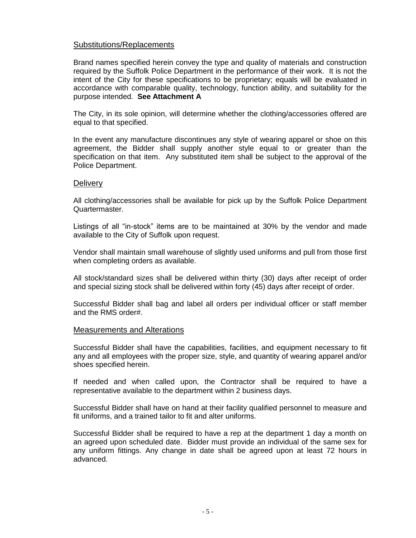## Substitutions/Replacements

Brand names specified herein convey the type and quality of materials and construction required by the Suffolk Police Department in the performance of their work. It is not the intent of the City for these specifications to be proprietary; equals will be evaluated in accordance with comparable quality, technology, function ability, and suitability for the purpose intended. **See Attachment A**

The City, in its sole opinion, will determine whether the clothing/accessories offered are equal to that specified.

In the event any manufacture discontinues any style of wearing apparel or shoe on this agreement, the Bidder shall supply another style equal to or greater than the specification on that item. Any substituted item shall be subject to the approval of the Police Department.

#### **Delivery**

All clothing/accessories shall be available for pick up by the Suffolk Police Department Quartermaster.

Listings of all "in-stock" items are to be maintained at 30% by the vendor and made available to the City of Suffolk upon request.

Vendor shall maintain small warehouse of slightly used uniforms and pull from those first when completing orders as available.

All stock/standard sizes shall be delivered within thirty (30) days after receipt of order and special sizing stock shall be delivered within forty (45) days after receipt of order.

Successful Bidder shall bag and label all orders per individual officer or staff member and the RMS order#.

#### Measurements and Alterations

Successful Bidder shall have the capabilities, facilities, and equipment necessary to fit any and all employees with the proper size, style, and quantity of wearing apparel and/or shoes specified herein.

If needed and when called upon, the Contractor shall be required to have a representative available to the department within 2 business days.

Successful Bidder shall have on hand at their facility qualified personnel to measure and fit uniforms, and a trained tailor to fit and alter uniforms.

Successful Bidder shall be required to have a rep at the department 1 day a month on an agreed upon scheduled date. Bidder must provide an individual of the same sex for any uniform fittings. Any change in date shall be agreed upon at least 72 hours in advanced.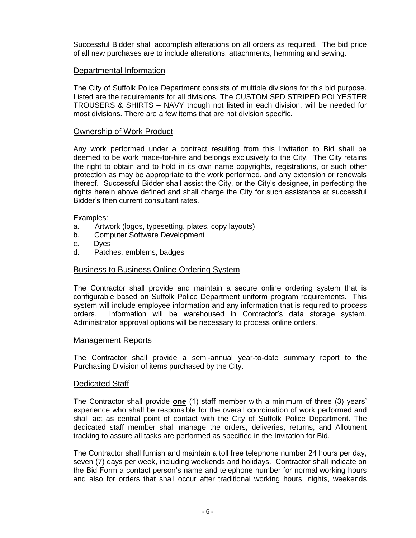Successful Bidder shall accomplish alterations on all orders as required. The bid price of all new purchases are to include alterations, attachments, hemming and sewing.

## Departmental Information

The City of Suffolk Police Department consists of multiple divisions for this bid purpose. Listed are the requirements for all divisions. The CUSTOM SPD STRIPED POLYESTER TROUSERS & SHIRTS – NAVY though not listed in each division, will be needed for most divisions. There are a few items that are not division specific.

## Ownership of Work Product

Any work performed under a contract resulting from this Invitation to Bid shall be deemed to be work made-for-hire and belongs exclusively to the City. The City retains the right to obtain and to hold in its own name copyrights, registrations, or such other protection as may be appropriate to the work performed, and any extension or renewals thereof. Successful Bidder shall assist the City, or the City's designee, in perfecting the rights herein above defined and shall charge the City for such assistance at successful Bidder's then current consultant rates.

Examples:

- a. Artwork (logos, typesetting, plates, copy layouts)
- b. Computer Software Development
- c. Dyes
- d. Patches, emblems, badges

#### Business to Business Online Ordering System

The Contractor shall provide and maintain a secure online ordering system that is configurable based on Suffolk Police Department uniform program requirements. This system will include employee information and any information that is required to process orders. Information will be warehoused in Contractor's data storage system. Administrator approval options will be necessary to process online orders.

#### Management Reports

The Contractor shall provide a semi-annual year-to-date summary report to the Purchasing Division of items purchased by the City.

#### Dedicated Staff

The Contractor shall provide **one** (1) staff member with a minimum of three (3) years' experience who shall be responsible for the overall coordination of work performed and shall act as central point of contact with the City of Suffolk Police Department. The dedicated staff member shall manage the orders, deliveries, returns, and Allotment tracking to assure all tasks are performed as specified in the Invitation for Bid.

The Contractor shall furnish and maintain a toll free telephone number 24 hours per day, seven (7) days per week, including weekends and holidays. Contractor shall indicate on the Bid Form a contact person's name and telephone number for normal working hours and also for orders that shall occur after traditional working hours, nights, weekends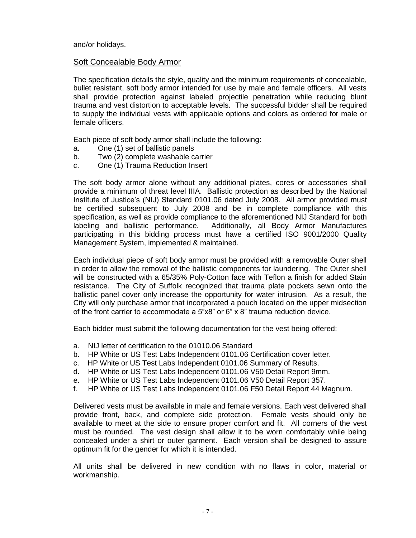and/or holidays.

## Soft Concealable Body Armor

The specification details the style, quality and the minimum requirements of concealable, bullet resistant, soft body armor intended for use by male and female officers. All vests shall provide protection against labeled projectile penetration while reducing blunt trauma and vest distortion to acceptable levels. The successful bidder shall be required to supply the individual vests with applicable options and colors as ordered for male or female officers.

Each piece of soft body armor shall include the following:

- a. One (1) set of ballistic panels
- b. Two (2) complete washable carrier
- c. One (1) Trauma Reduction Insert

The soft body armor alone without any additional plates, cores or accessories shall provide a minimum of threat level IIIA. Ballistic protection as described by the National Institute of Justice's (NIJ) Standard 0101.06 dated July 2008. All armor provided must be certified subsequent to July 2008 and be in complete compliance with this specification, as well as provide compliance to the aforementioned NIJ Standard for both labeling and ballistic performance. Additionally, all Body Armor Manufactures participating in this bidding process must have a certified ISO 9001/2000 Quality Management System, implemented & maintained.

Each individual piece of soft body armor must be provided with a removable Outer shell in order to allow the removal of the ballistic components for laundering. The Outer shell will be constructed with a 65/35% Poly-Cotton face with Teflon a finish for added Stain resistance. The City of Suffolk recognized that trauma plate pockets sewn onto the ballistic panel cover only increase the opportunity for water intrusion. As a result, the City will only purchase armor that incorporated a pouch located on the upper midsection of the front carrier to accommodate a  $5"x8"$  or  $6"x8"$  trauma reduction device.

Each bidder must submit the following documentation for the vest being offered:

- a. NIJ letter of certification to the 01010.06 Standard
- b. HP White or US Test Labs Independent 0101.06 Certification cover letter.
- c. HP White or US Test Labs Independent 0101.06 Summary of Results.
- d. HP White or US Test Labs Independent 0101.06 V50 Detail Report 9mm.
- e. HP White or US Test Labs Independent 0101.06 V50 Detail Report 357.
- f. HP White or US Test Labs Independent 0101.06 F50 Detail Report 44 Magnum.

Delivered vests must be available in male and female versions. Each vest delivered shall provide front, back, and complete side protection. Female vests should only be available to meet at the side to ensure proper comfort and fit. All corners of the vest must be rounded. The vest design shall allow it to be worn comfortably while being concealed under a shirt or outer garment. Each version shall be designed to assure optimum fit for the gender for which it is intended.

All units shall be delivered in new condition with no flaws in color, material or workmanship.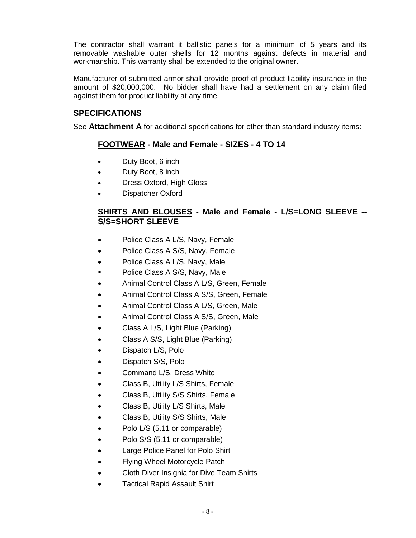The contractor shall warrant it ballistic panels for a minimum of 5 years and its removable washable outer shells for 12 months against defects in material and workmanship. This warranty shall be extended to the original owner.

Manufacturer of submitted armor shall provide proof of product liability insurance in the amount of \$20,000,000. No bidder shall have had a settlement on any claim filed against them for product liability at any time.

## <span id="page-7-0"></span>**SPECIFICATIONS**

See **Attachment A** for additional specifications for other than standard industry items:

## **FOOTWEAR - Male and Female - SIZES - 4 TO 14**

- Duty Boot, 6 inch
- Duty Boot, 8 inch
- Dress Oxford, High Gloss
- Dispatcher Oxford

## **SHIRTS AND BLOUSES - Male and Female - L/S=LONG SLEEVE -- S/S=SHORT SLEEVE**

- Police Class A L/S, Navy, Female
- Police Class A S/S, Navy, Female
- Police Class A L/S, Navy, Male
- Police Class A S/S, Navy, Male
- Animal Control Class A L/S, Green, Female
- Animal Control Class A S/S, Green, Female
- Animal Control Class A L/S, Green, Male
- Animal Control Class A S/S, Green, Male
- Class A L/S, Light Blue (Parking)
- Class A S/S, Light Blue (Parking)
- Dispatch L/S, Polo
- Dispatch S/S, Polo
- Command L/S, Dress White
- Class B, Utility L/S Shirts, Female
- Class B, Utility S/S Shirts, Female
- Class B, Utility L/S Shirts, Male
- Class B, Utility S/S Shirts, Male
- Polo L/S (5.11 or comparable)
- Polo S/S (5.11 or comparable)
- Large Police Panel for Polo Shirt
- Flying Wheel Motorcycle Patch
- Cloth Diver Insignia for Dive Team Shirts
- Tactical Rapid Assault Shirt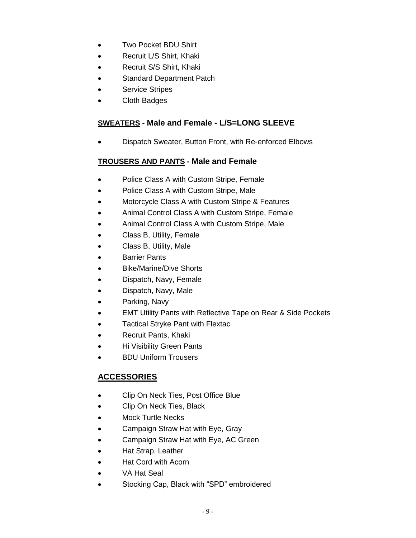- Two Pocket BDU Shirt
- Recruit L/S Shirt, Khaki
- Recruit S/S Shirt, Khaki
- Standard Department Patch
- Service Stripes
- Cloth Badges

## **SWEATERS - Male and Female - L/S=LONG SLEEVE**

Dispatch Sweater, Button Front, with Re-enforced Elbows

## **TROUSERS AND PANTS - Male and Female**

- Police Class A with Custom Stripe, Female
- Police Class A with Custom Stripe, Male
- Motorcycle Class A with Custom Stripe & Features
- Animal Control Class A with Custom Stripe, Female
- Animal Control Class A with Custom Stripe, Male
- Class B, Utility, Female
- Class B, Utility, Male
- **•** Barrier Pants
- Bike/Marine/Dive Shorts
- Dispatch, Navy, Female
- Dispatch, Navy, Male
- Parking, Navy
- EMT Utility Pants with Reflective Tape on Rear & Side Pockets
- Tactical Stryke Pant with Flextac
- Recruit Pants, Khaki
- Hi Visibility Green Pants
- BDU Uniform Trousers

## **ACCESSORIES**

- Clip On Neck Ties, Post Office Blue
- Clip On Neck Ties, Black
- Mock Turtle Necks
- Campaign Straw Hat with Eye, Gray
- Campaign Straw Hat with Eye, AC Green
- Hat Strap, Leather
- Hat Cord with Acorn
- VA Hat Seal
- Stocking Cap, Black with "SPD" embroidered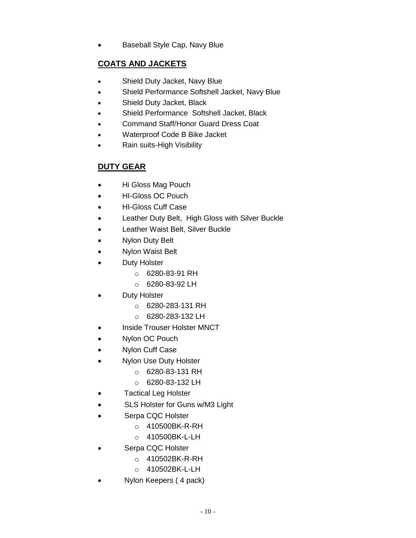Baseball Style Cap, Navy Blue

## **COATS AND JACKETS**

- Shield Duty Jacket, Navy Blue
- Shield Performance Softshell Jacket, Navy Blue
- Shield Duty Jacket, Black
- Shield Performance Softshell Jacket, Black
- Command Staff/Honor Guard Dress Coat
- Waterproof Code B Bike Jacket
- Rain suits-High Visibility

## **DUTY GEAR**

- Hi Gloss Mag Pouch
- HI-Gloss OC Pouch
- HI-Gloss Cuff Case
- Leather Duty Belt, High Gloss with Silver Buckle
- Leather Waist Belt, Silver Buckle
- Nylon Duty Belt
- Nylon Waist Belt
- Duty Holster
	- o 6280-83-91 RH
	- o 6280-83-92 LH
- Duty Holster
	- o 6280-283-131 RH
	- o 6280-283-132 LH
- Inside Trouser Holster MNCT
- Nylon OC Pouch
- Nylon Cuff Case
- Nylon Use Duty Holster
	- $O = 6280 83 131$  RH
	- o 6280-83-132 LH
- Tactical Leg Holster
- SLS Holster for Guns w/M3 Light
- Serpa CQC Holster
	- o 410500BK-R-RH
	- o 410500BK-L-LH
- Serpa CQC Holster
	- o 410502BK-R-RH
	- o 410502BK-L-LH
- Nylon Keepers ( 4 pack)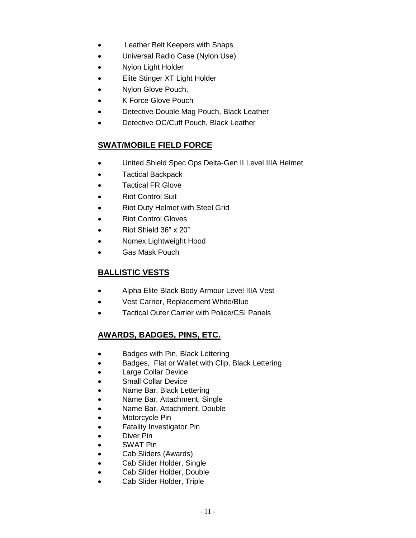- Leather Belt Keepers with Snaps
- Universal Radio Case (Nylon Use)
- Nylon Light Holder
- Elite Stinger XT Light Holder
- Nylon Glove Pouch,
- K Force Glove Pouch
- Detective Double Mag Pouch, Black Leather
- Detective OC/Cuff Pouch, Black Leather

## **SWAT/MOBILE FIELD FORCE**

- United Shield Spec Ops Delta-Gen II Level IIIA Helmet
- Tactical Backpack
- Tactical FR Glove
- Riot Control Suit
- Riot Duty Helmet with Steel Grid
- Riot Control Gloves
- Riot Shield 36" x 20"
- Nomex Lightweight Hood
- Gas Mask Pouch

## **BALLISTIC VESTS**

- Alpha Elite Black Body Armour Level IIIA Vest
- Vest Carrier, Replacement White/Blue
- Tactical Outer Carrier with Police/CSI Panels

## **AWARDS, BADGES, PINS, ETC.**

- Badges with Pin, Black Lettering
- Badges, Flat or Wallet with Clip, Black Lettering
- Large Collar Device
- Small Collar Device
- Name Bar, Black Lettering
- Name Bar, Attachment, Single
- Name Bar, Attachment, Double
- Motorcycle Pin
- **•** Fatality Investigator Pin
- Diver Pin
- SWAT Pin
- Cab Sliders (Awards)
- Cab Slider Holder, Single
- Cab Slider Holder, Double
- Cab Slider Holder, Triple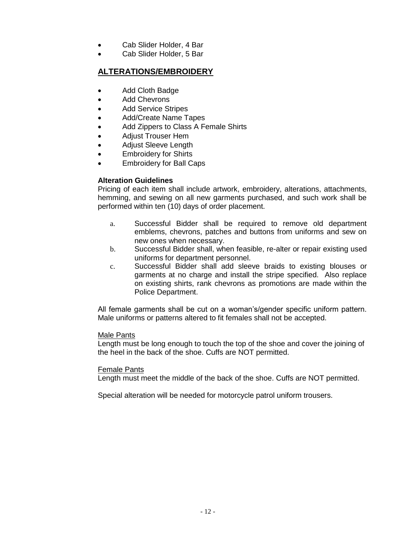- Cab Slider Holder, 4 Bar
- Cab Slider Holder, 5 Bar

## **ALTERATIONS/EMBROIDERY**

- Add Cloth Badge
- Add Chevrons
- Add Service Stripes
- Add/Create Name Tapes
- Add Zippers to Class A Female Shirts
- Adiust Trouser Hem
- Adjust Sleeve Length
- Embroidery for Shirts
- Embroidery for Ball Caps

## **Alteration Guidelines**

Pricing of each item shall include artwork, embroidery, alterations, attachments, hemming, and sewing on all new garments purchased, and such work shall be performed within ten (10) days of order placement.

- a. Successful Bidder shall be required to remove old department emblems, chevrons, patches and buttons from uniforms and sew on new ones when necessary.
- b. Successful Bidder shall, when feasible, re-alter or repair existing used uniforms for department personnel.
- c. Successful Bidder shall add sleeve braids to existing blouses or garments at no charge and install the stripe specified. Also replace on existing shirts, rank chevrons as promotions are made within the Police Department.

All female garments shall be cut on a woman's/gender specific uniform pattern. Male uniforms or patterns altered to fit females shall not be accepted.

#### Male Pants

Length must be long enough to touch the top of the shoe and cover the joining of the heel in the back of the shoe. Cuffs are NOT permitted.

## Female Pants

Length must meet the middle of the back of the shoe. Cuffs are NOT permitted.

Special alteration will be needed for motorcycle patrol uniform trousers.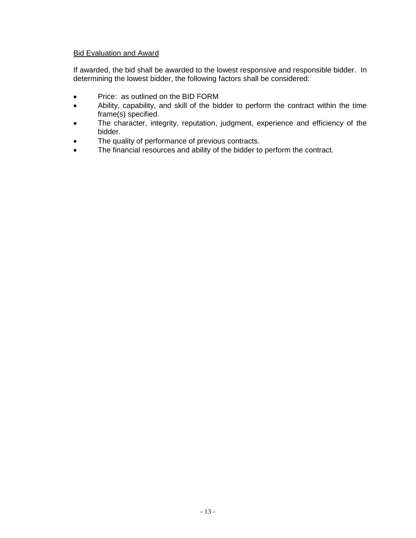## Bid Evaluation and Award

If awarded, the bid shall be awarded to the lowest responsive and responsible bidder. In determining the lowest bidder, the following factors shall be considered:

- Price: as outlined on the BID FORM
- Ability, capability, and skill of the bidder to perform the contract within the time frame(s) specified.
- The character, integrity, reputation, judgment, experience and efficiency of the bidder.
- The quality of performance of previous contracts.
- The financial resources and ability of the bidder to perform the contract.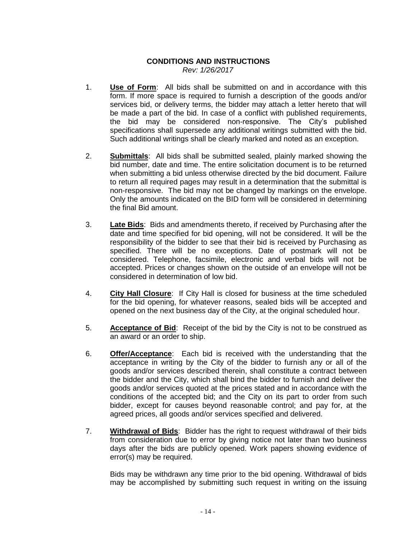## **CONDITIONS AND INSTRUCTIONS** *Rev: 1/26/2017*

- 1. **Use of Form**: All bids shall be submitted on and in accordance with this form. If more space is required to furnish a description of the goods and/or services bid, or delivery terms, the bidder may attach a letter hereto that will be made a part of the bid. In case of a conflict with published requirements, the bid may be considered non-responsive. The City's published specifications shall supersede any additional writings submitted with the bid. Such additional writings shall be clearly marked and noted as an exception.
- 2. **Submittals**: All bids shall be submitted sealed, plainly marked showing the bid number, date and time. The entire solicitation document is to be returned when submitting a bid unless otherwise directed by the bid document. Failure to return all required pages may result in a determination that the submittal is non-responsive. The bid may not be changed by markings on the envelope. Only the amounts indicated on the BID form will be considered in determining the final Bid amount.
- 3. **Late Bids**: Bids and amendments thereto, if received by Purchasing after the date and time specified for bid opening, will not be considered. It will be the responsibility of the bidder to see that their bid is received by Purchasing as specified. There will be no exceptions. Date of postmark will not be considered. Telephone, facsimile, electronic and verbal bids will not be accepted. Prices or changes shown on the outside of an envelope will not be considered in determination of low bid.
- 4. **City Hall Closure**: If City Hall is closed for business at the time scheduled for the bid opening, for whatever reasons, sealed bids will be accepted and opened on the next business day of the City, at the original scheduled hour.
- 5. **Acceptance of Bid**: Receipt of the bid by the City is not to be construed as an award or an order to ship.
- 6. **Offer/Acceptance**: Each bid is received with the understanding that the acceptance in writing by the City of the bidder to furnish any or all of the goods and/or services described therein, shall constitute a contract between the bidder and the City, which shall bind the bidder to furnish and deliver the goods and/or services quoted at the prices stated and in accordance with the conditions of the accepted bid; and the City on its part to order from such bidder, except for causes beyond reasonable control; and pay for, at the agreed prices, all goods and/or services specified and delivered.
- 7. **Withdrawal of Bids**: Bidder has the right to request withdrawal of their bids from consideration due to error by giving notice not later than two business days after the bids are publicly opened. Work papers showing evidence of error(s) may be required.

Bids may be withdrawn any time prior to the bid opening. Withdrawal of bids may be accomplished by submitting such request in writing on the issuing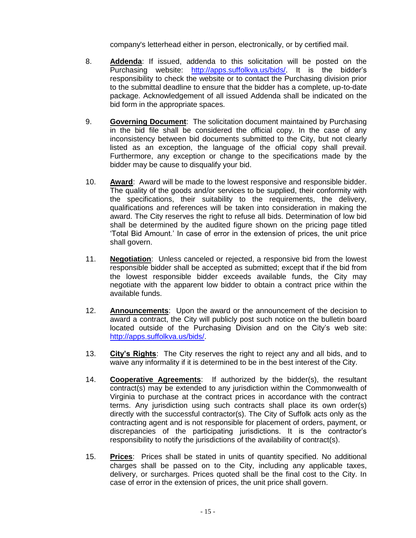company's letterhead either in person, electronically, or by certified mail.

- 8. **Addenda**: If issued, addenda to this solicitation will be posted on the Purchasing website: [http://apps.suffolkva.us/bids/.](http://apps.suffolkva.us/bids/) It is the bidder's responsibility to check the website or to contact the Purchasing division prior to the submittal deadline to ensure that the bidder has a complete, up-to-date package. Acknowledgement of all issued Addenda shall be indicated on the bid form in the appropriate spaces.
- 9. **Governing Document**: The solicitation document maintained by Purchasing in the bid file shall be considered the official copy. In the case of any inconsistency between bid documents submitted to the City, but not clearly listed as an exception, the language of the official copy shall prevail. Furthermore, any exception or change to the specifications made by the bidder may be cause to disqualify your bid.
- 10. **Award**: Award will be made to the lowest responsive and responsible bidder. The quality of the goods and/or services to be supplied, their conformity with the specifications, their suitability to the requirements, the delivery, qualifications and references will be taken into consideration in making the award. The City reserves the right to refuse all bids. Determination of low bid shall be determined by the audited figure shown on the pricing page titled 'Total Bid Amount.' In case of error in the extension of prices, the unit price shall govern.
- 11. **Negotiation**: Unless canceled or rejected, a responsive bid from the lowest responsible bidder shall be accepted as submitted; except that if the bid from the lowest responsible bidder exceeds available funds, the City may negotiate with the apparent low bidder to obtain a contract price within the available funds.
- 12. **Announcements**: Upon the award or the announcement of the decision to award a contract, the City will publicly post such notice on the bulletin board located outside of the Purchasing Division and on the City's web site: [http://apps.suffolkva.us/bids/.](http://apps.suffolkva.us/bids/)
- 13. **City's Rights**: The City reserves the right to reject any and all bids, and to waive any informality if it is determined to be in the best interest of the City.
- 14. **Cooperative Agreements**: If authorized by the bidder(s), the resultant contract(s) may be extended to any jurisdiction within the Commonwealth of Virginia to purchase at the contract prices in accordance with the contract terms. Any jurisdiction using such contracts shall place its own order(s) directly with the successful contractor(s). The City of Suffolk acts only as the contracting agent and is not responsible for placement of orders, payment, or discrepancies of the participating jurisdictions. It is the contractor's responsibility to notify the jurisdictions of the availability of contract(s).
- 15. **Prices**: Prices shall be stated in units of quantity specified. No additional charges shall be passed on to the City, including any applicable taxes, delivery, or surcharges. Prices quoted shall be the final cost to the City. In case of error in the extension of prices, the unit price shall govern.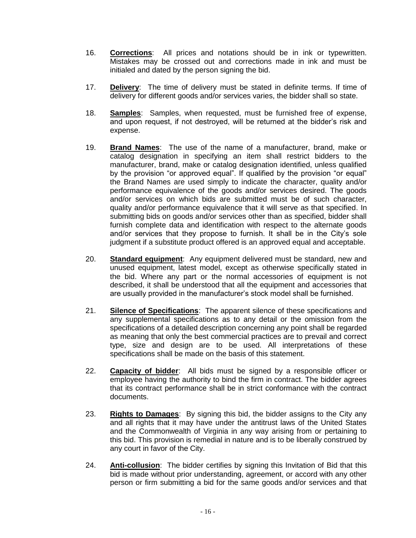- 16. **Corrections**: All prices and notations should be in ink or typewritten. Mistakes may be crossed out and corrections made in ink and must be initialed and dated by the person signing the bid.
- 17. **Delivery**: The time of delivery must be stated in definite terms. If time of delivery for different goods and/or services varies, the bidder shall so state.
- 18. **Samples**: Samples, when requested, must be furnished free of expense, and upon request, if not destroyed, will be returned at the bidder's risk and expense.
- 19. **Brand Names**: The use of the name of a manufacturer, brand, make or catalog designation in specifying an item shall restrict bidders to the manufacturer, brand, make or catalog designation identified, unless qualified by the provision "or approved equal". If qualified by the provision "or equal" the Brand Names are used simply to indicate the character, quality and/or performance equivalence of the goods and/or services desired. The goods and/or services on which bids are submitted must be of such character, quality and/or performance equivalence that it will serve as that specified. In submitting bids on goods and/or services other than as specified, bidder shall furnish complete data and identification with respect to the alternate goods and/or services that they propose to furnish. It shall be in the City's sole judgment if a substitute product offered is an approved equal and acceptable.
- 20. **Standard equipment**: Any equipment delivered must be standard, new and unused equipment, latest model, except as otherwise specifically stated in the bid. Where any part or the normal accessories of equipment is not described, it shall be understood that all the equipment and accessories that are usually provided in the manufacturer's stock model shall be furnished.
- 21. **Silence of Specifications**: The apparent silence of these specifications and any supplemental specifications as to any detail or the omission from the specifications of a detailed description concerning any point shall be regarded as meaning that only the best commercial practices are to prevail and correct type, size and design are to be used. All interpretations of these specifications shall be made on the basis of this statement.
- 22. **Capacity of bidder**: All bids must be signed by a responsible officer or employee having the authority to bind the firm in contract. The bidder agrees that its contract performance shall be in strict conformance with the contract documents.
- 23. **Rights to Damages**: By signing this bid, the bidder assigns to the City any and all rights that it may have under the antitrust laws of the United States and the Commonwealth of Virginia in any way arising from or pertaining to this bid. This provision is remedial in nature and is to be liberally construed by any court in favor of the City.
- 24. **Anti-collusion**: The bidder certifies by signing this Invitation of Bid that this bid is made without prior understanding, agreement, or accord with any other person or firm submitting a bid for the same goods and/or services and that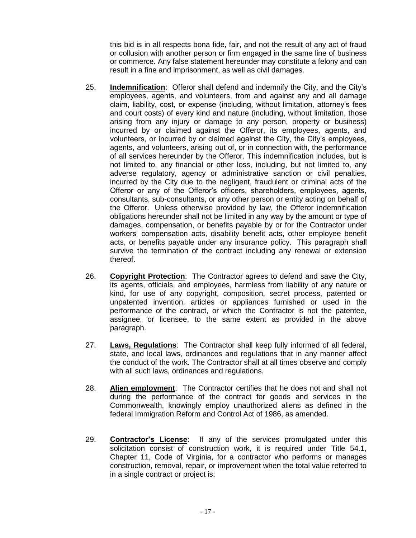this bid is in all respects bona fide, fair, and not the result of any act of fraud or collusion with another person or firm engaged in the same line of business or commerce. Any false statement hereunder may constitute a felony and can result in a fine and imprisonment, as well as civil damages.

- 25. **Indemnification**: Offeror shall defend and indemnify the City, and the City's employees, agents, and volunteers, from and against any and all damage claim, liability, cost, or expense (including, without limitation, attorney's fees and court costs) of every kind and nature (including, without limitation, those arising from any injury or damage to any person, property or business) incurred by or claimed against the Offeror, its employees, agents, and volunteers, or incurred by or claimed against the City, the City's employees, agents, and volunteers, arising out of, or in connection with, the performance of all services hereunder by the Offeror. This indemnification includes, but is not limited to, any financial or other loss, including, but not limited to, any adverse regulatory, agency or administrative sanction or civil penalties, incurred by the City due to the negligent, fraudulent or criminal acts of the Offeror or any of the Offeror's officers, shareholders, employees, agents, consultants, sub-consultants, or any other person or entity acting on behalf of the Offeror. Unless otherwise provided by law, the Offeror indemnification obligations hereunder shall not be limited in any way by the amount or type of damages, compensation, or benefits payable by or for the Contractor under workers' compensation acts, disability benefit acts, other employee benefit acts, or benefits payable under any insurance policy. This paragraph shall survive the termination of the contract including any renewal or extension thereof.
- 26. **Copyright Protection**: The Contractor agrees to defend and save the City, its agents, officials, and employees, harmless from liability of any nature or kind, for use of any copyright, composition, secret process, patented or unpatented invention, articles or appliances furnished or used in the performance of the contract, or which the Contractor is not the patentee, assignee, or licensee, to the same extent as provided in the above paragraph.
- 27. **Laws, Regulations**: The Contractor shall keep fully informed of all federal, state, and local laws, ordinances and regulations that in any manner affect the conduct of the work. The Contractor shall at all times observe and comply with all such laws, ordinances and regulations.
- 28. **Alien employment**: The Contractor certifies that he does not and shall not during the performance of the contract for goods and services in the Commonwealth, knowingly employ unauthorized aliens as defined in the federal Immigration Reform and Control Act of 1986, as amended.
- 29. **Contractor's License**: If any of the services promulgated under this solicitation consist of construction work, it is required under Title 54.1, Chapter 11, Code of Virginia, for a contractor who performs or manages construction, removal, repair, or improvement when the total value referred to in a single contract or project is: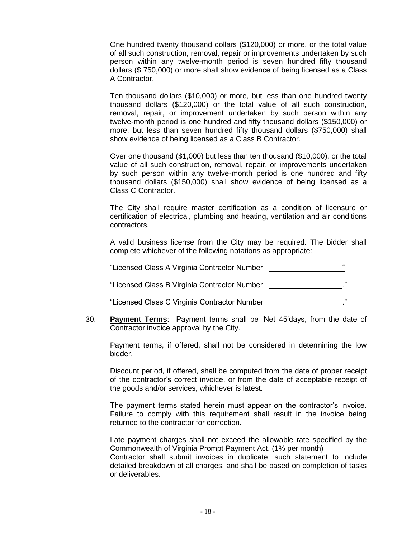One hundred twenty thousand dollars (\$120,000) or more, or the total value of all such construction, removal, repair or improvements undertaken by such person within any twelve-month period is seven hundred fifty thousand dollars (\$ 750,000) or more shall show evidence of being licensed as a Class A Contractor.

Ten thousand dollars (\$10,000) or more, but less than one hundred twenty thousand dollars (\$120,000) or the total value of all such construction, removal, repair, or improvement undertaken by such person within any twelve-month period is one hundred and fifty thousand dollars (\$150,000) or more, but less than seven hundred fifty thousand dollars (\$750,000) shall show evidence of being licensed as a Class B Contractor.

Over one thousand (\$1,000) but less than ten thousand (\$10,000), or the total value of all such construction, removal, repair, or improvements undertaken by such person within any twelve-month period is one hundred and fifty thousand dollars (\$150,000) shall show evidence of being licensed as a Class C Contractor.

The City shall require master certification as a condition of licensure or certification of electrical, plumbing and heating, ventilation and air conditions contractors.

A valid business license from the City may be required. The bidder shall complete whichever of the following notations as appropriate:

| "Licensed Class A Virginia Contractor Number |    |
|----------------------------------------------|----|
| "Licensed Class B Virginia Contractor Number | ,, |
| "Licensed Class C Virginia Contractor Number | ,, |

30. **Payment Terms**: Payment terms shall be 'Net 45'days, from the date of Contractor invoice approval by the City.

Payment terms, if offered, shall not be considered in determining the low bidder.

Discount period, if offered, shall be computed from the date of proper receipt of the contractor's correct invoice, or from the date of acceptable receipt of the goods and/or services, whichever is latest.

The payment terms stated herein must appear on the contractor's invoice. Failure to comply with this requirement shall result in the invoice being returned to the contractor for correction.

Late payment charges shall not exceed the allowable rate specified by the Commonwealth of Virginia Prompt Payment Act. (1% per month)

Contractor shall submit invoices in duplicate, such statement to include detailed breakdown of all charges, and shall be based on completion of tasks or deliverables.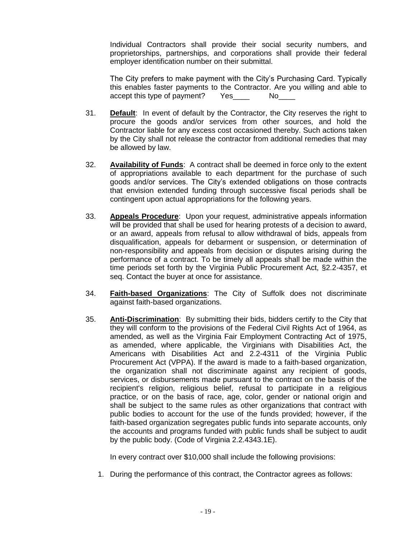Individual Contractors shall provide their social security numbers, and proprietorships, partnerships, and corporations shall provide their federal employer identification number on their submittal.

The City prefers to make payment with the City's Purchasing Card. Typically this enables faster payments to the Contractor. Are you willing and able to accept this type of payment? Yes\_\_\_\_ No\_\_\_

- 31. **Default**: In event of default by the Contractor, the City reserves the right to procure the goods and/or services from other sources, and hold the Contractor liable for any excess cost occasioned thereby. Such actions taken by the City shall not release the contractor from additional remedies that may be allowed by law.
- 32. **Availability of Funds**: A contract shall be deemed in force only to the extent of appropriations available to each department for the purchase of such goods and/or services. The City's extended obligations on those contracts that envision extended funding through successive fiscal periods shall be contingent upon actual appropriations for the following years.
- 33. **Appeals Procedure**: Upon your request, administrative appeals information will be provided that shall be used for hearing protests of a decision to award, or an award, appeals from refusal to allow withdrawal of bids, appeals from disqualification, appeals for debarment or suspension, or determination of non-responsibility and appeals from decision or disputes arising during the performance of a contract. To be timely all appeals shall be made within the time periods set forth by the Virginia Public Procurement Act, §2.2-4357, et seq. Contact the buyer at once for assistance.
- 34. **Faith-based Organizations**: The City of Suffolk does not discriminate against faith-based organizations.
- 35. **Anti-Discrimination**: By submitting their bids, bidders certify to the City that they will conform to the provisions of the Federal Civil Rights Act of 1964, as amended, as well as the Virginia Fair Employment Contracting Act of 1975, as amended, where applicable, the Virginians with Disabilities Act, the Americans with Disabilities Act and 2.2-4311 of the Virginia Public Procurement Act (VPPA). If the award is made to a faith-based organization, the organization shall not discriminate against any recipient of goods, services, or disbursements made pursuant to the contract on the basis of the recipient's religion, religious belief, refusal to participate in a religious practice, or on the basis of race, age, color, gender or national origin and shall be subject to the same rules as other organizations that contract with public bodies to account for the use of the funds provided; however, if the faith-based organization segregates public funds into separate accounts, only the accounts and programs funded with public funds shall be subject to audit by the public body. (Code of Virginia 2.2.4343.1E).

In every contract over \$10,000 shall include the following provisions:

1. During the performance of this contract, the Contractor agrees as follows: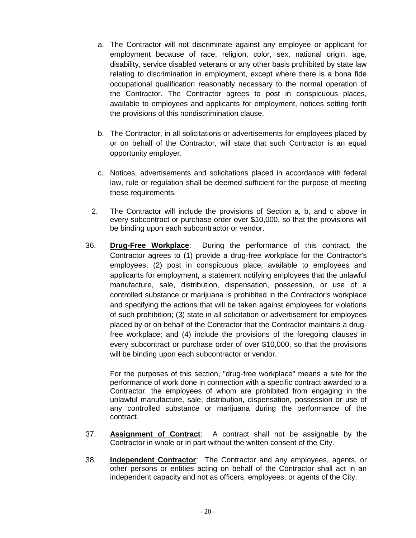- a. The Contractor will not discriminate against any employee or applicant for employment because of race, religion, color, sex, national origin, age, disability, service disabled veterans or any other basis prohibited by state law relating to discrimination in employment, except where there is a bona fide occupational qualification reasonably necessary to the normal operation of the Contractor. The Contractor agrees to post in conspicuous places, available to employees and applicants for employment, notices setting forth the provisions of this nondiscrimination clause.
- b. The Contractor, in all solicitations or advertisements for employees placed by or on behalf of the Contractor, will state that such Contractor is an equal opportunity employer.
- c. Notices, advertisements and solicitations placed in accordance with federal law, rule or regulation shall be deemed sufficient for the purpose of meeting these requirements.
- 2. The Contractor will include the provisions of Section a, b, and c above in every subcontract or purchase order over \$10,000, so that the provisions will be binding upon each subcontractor or vendor.
- 36. **Drug-Free Workplace**: During the performance of this contract, the Contractor agrees to (1) provide a drug-free workplace for the Contractor's employees; (2) post in conspicuous place, available to employees and applicants for employment, a statement notifying employees that the unlawful manufacture, sale, distribution, dispensation, possession, or use of a controlled substance or marijuana is prohibited in the Contractor's workplace and specifying the actions that will be taken against employees for violations of such prohibition; (3) state in all solicitation or advertisement for employees placed by or on behalf of the Contractor that the Contractor maintains a drugfree workplace; and (4) include the provisions of the foregoing clauses in every subcontract or purchase order of over \$10,000, so that the provisions will be binding upon each subcontractor or vendor.

For the purposes of this section, "drug-free workplace" means a site for the performance of work done in connection with a specific contract awarded to a Contractor, the employees of whom are prohibited from engaging in the unlawful manufacture, sale, distribution, dispensation, possession or use of any controlled substance or marijuana during the performance of the contract.

- 37. **Assignment of Contract**: A contract shall not be assignable by the Contractor in whole or in part without the written consent of the City.
- 38. **Independent Contractor**: The Contractor and any employees, agents, or other persons or entities acting on behalf of the Contractor shall act in an independent capacity and not as officers, employees, or agents of the City.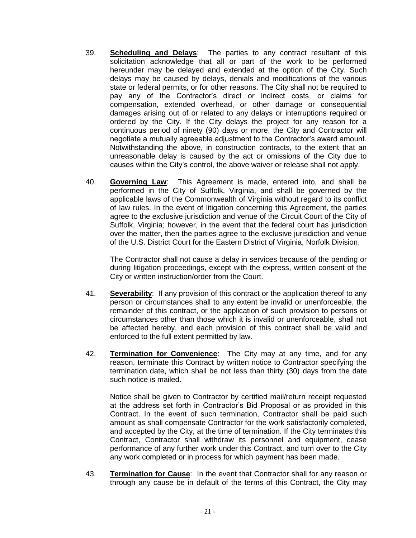- 39. **Scheduling and Delays**: The parties to any contract resultant of this solicitation acknowledge that all or part of the work to be performed hereunder may be delayed and extended at the option of the City. Such delays may be caused by delays, denials and modifications of the various state or federal permits, or for other reasons. The City shall not be required to pay any of the Contractor's direct or indirect costs, or claims for compensation, extended overhead, or other damage or consequential damages arising out of or related to any delays or interruptions required or ordered by the City. If the City delays the project for any reason for a continuous period of ninety (90) days or more, the City and Contractor will negotiate a mutually agreeable adjustment to the Contractor's award amount. Notwithstanding the above, in construction contracts, to the extent that an unreasonable delay is caused by the act or omissions of the City due to causes within the City's control, the above waiver or release shall not apply.
- 40. **Governing Law**: This Agreement is made, entered into, and shall be performed in the City of Suffolk, Virginia, and shall be governed by the applicable laws of the Commonwealth of Virginia without regard to its conflict of law rules. In the event of litigation concerning this Agreement, the parties agree to the exclusive jurisdiction and venue of the Circuit Court of the City of Suffolk, Virginia; however, in the event that the federal court has jurisdiction over the matter, then the parties agree to the exclusive jurisdiction and venue of the U.S. District Court for the Eastern District of Virginia, Norfolk Division.

The Contractor shall not cause a delay in services because of the pending or during litigation proceedings, except with the express, written consent of the City or written instruction/order from the Court.

- 41. **Severability**: If any provision of this contract or the application thereof to any person or circumstances shall to any extent be invalid or unenforceable, the remainder of this contract, or the application of such provision to persons or circumstances other than those which it is invalid or unenforceable, shall not be affected hereby, and each provision of this contract shall be valid and enforced to the full extent permitted by law.
- 42. **Termination for Convenience**: The City may at any time, and for any reason, terminate this Contract by written notice to Contractor specifying the termination date, which shall be not less than thirty (30) days from the date such notice is mailed.

Notice shall be given to Contractor by certified mail/return receipt requested at the address set forth in Contractor's Bid Proposal or as provided in this Contract. In the event of such termination, Contractor shall be paid such amount as shall compensate Contractor for the work satisfactorily completed, and accepted by the City, at the time of termination. If the City terminates this Contract, Contractor shall withdraw its personnel and equipment, cease performance of any further work under this Contract, and turn over to the City any work completed or in process for which payment has been made.

43. **Termination for Cause**: In the event that Contractor shall for any reason or through any cause be in default of the terms of this Contract, the City may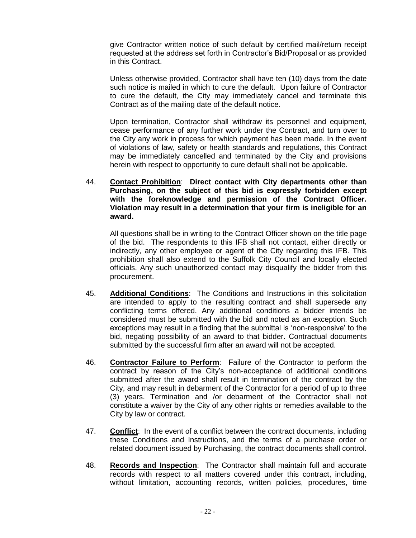give Contractor written notice of such default by certified mail/return receipt requested at the address set forth in Contractor's Bid/Proposal or as provided in this Contract.

Unless otherwise provided, Contractor shall have ten (10) days from the date such notice is mailed in which to cure the default. Upon failure of Contractor to cure the default, the City may immediately cancel and terminate this Contract as of the mailing date of the default notice.

Upon termination, Contractor shall withdraw its personnel and equipment, cease performance of any further work under the Contract, and turn over to the City any work in process for which payment has been made. In the event of violations of law, safety or health standards and regulations, this Contract may be immediately cancelled and terminated by the City and provisions herein with respect to opportunity to cure default shall not be applicable.

44. **Contact Prohibition**: **Direct contact with City departments other than Purchasing, on the subject of this bid is expressly forbidden except with the foreknowledge and permission of the Contract Officer. Violation may result in a determination that your firm is ineligible for an award.**

All questions shall be in writing to the Contract Officer shown on the title page of the bid. The respondents to this IFB shall not contact, either directly or indirectly, any other employee or agent of the City regarding this IFB. This prohibition shall also extend to the Suffolk City Council and locally elected officials. Any such unauthorized contact may disqualify the bidder from this procurement.

- 45. **Additional Conditions**: The Conditions and Instructions in this solicitation are intended to apply to the resulting contract and shall supersede any conflicting terms offered. Any additional conditions a bidder intends be considered must be submitted with the bid and noted as an exception. Such exceptions may result in a finding that the submittal is 'non-responsive' to the bid, negating possibility of an award to that bidder. Contractual documents submitted by the successful firm after an award will not be accepted.
- 46. **Contractor Failure to Perform**: Failure of the Contractor to perform the contract by reason of the City's non-acceptance of additional conditions submitted after the award shall result in termination of the contract by the City, and may result in debarment of the Contractor for a period of up to three (3) years. Termination and /or debarment of the Contractor shall not constitute a waiver by the City of any other rights or remedies available to the City by law or contract.
- 47. **Conflict**: In the event of a conflict between the contract documents, including these Conditions and Instructions, and the terms of a purchase order or related document issued by Purchasing, the contract documents shall control.
- 48. **Records and Inspection**: The Contractor shall maintain full and accurate records with respect to all matters covered under this contract, including, without limitation, accounting records, written policies, procedures, time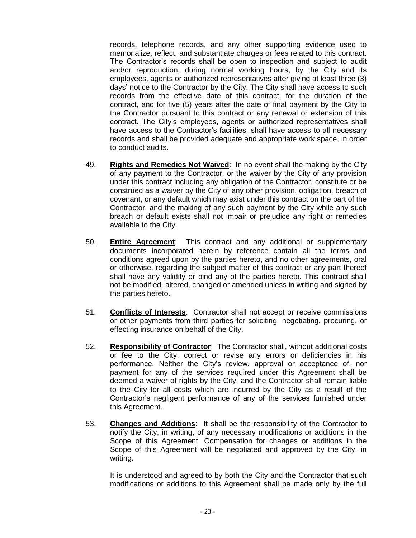records, telephone records, and any other supporting evidence used to memorialize, reflect, and substantiate charges or fees related to this contract. The Contractor's records shall be open to inspection and subject to audit and/or reproduction, during normal working hours, by the City and its employees, agents or authorized representatives after giving at least three (3) days' notice to the Contractor by the City. The City shall have access to such records from the effective date of this contract, for the duration of the contract, and for five (5) years after the date of final payment by the City to the Contractor pursuant to this contract or any renewal or extension of this contract. The City's employees, agents or authorized representatives shall have access to the Contractor's facilities, shall have access to all necessary records and shall be provided adequate and appropriate work space, in order to conduct audits.

- 49. **Rights and Remedies Not Waived**: In no event shall the making by the City of any payment to the Contractor, or the waiver by the City of any provision under this contract including any obligation of the Contractor, constitute or be construed as a waiver by the City of any other provision, obligation, breach of covenant, or any default which may exist under this contract on the part of the Contractor, and the making of any such payment by the City while any such breach or default exists shall not impair or prejudice any right or remedies available to the City.
- 50. **Entire Agreement**: This contract and any additional or supplementary documents incorporated herein by reference contain all the terms and conditions agreed upon by the parties hereto, and no other agreements, oral or otherwise, regarding the subject matter of this contract or any part thereof shall have any validity or bind any of the parties hereto. This contract shall not be modified, altered, changed or amended unless in writing and signed by the parties hereto.
- 51. **Conflicts of Interests**: Contractor shall not accept or receive commissions or other payments from third parties for soliciting, negotiating, procuring, or effecting insurance on behalf of the City.
- 52. **Responsibility of Contractor**: The Contractor shall, without additional costs or fee to the City, correct or revise any errors or deficiencies in his performance. Neither the City's review, approval or acceptance of, nor payment for any of the services required under this Agreement shall be deemed a waiver of rights by the City, and the Contractor shall remain liable to the City for all costs which are incurred by the City as a result of the Contractor's negligent performance of any of the services furnished under this Agreement.
- 53. **Changes and Additions**: It shall be the responsibility of the Contractor to notify the City, in writing, of any necessary modifications or additions in the Scope of this Agreement. Compensation for changes or additions in the Scope of this Agreement will be negotiated and approved by the City, in writing.

It is understood and agreed to by both the City and the Contractor that such modifications or additions to this Agreement shall be made only by the full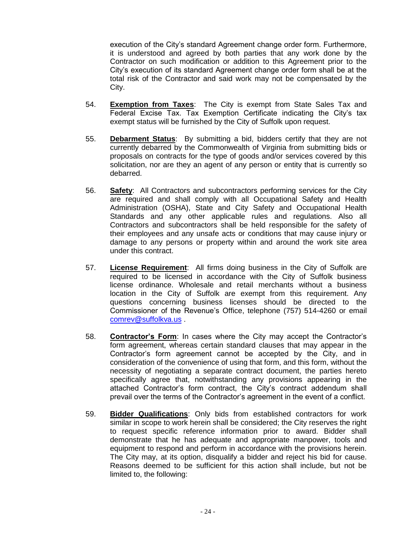execution of the City's standard Agreement change order form. Furthermore, it is understood and agreed by both parties that any work done by the Contractor on such modification or addition to this Agreement prior to the City's execution of its standard Agreement change order form shall be at the total risk of the Contractor and said work may not be compensated by the City.

- 54. **Exemption from Taxes**: The City is exempt from State Sales Tax and Federal Excise Tax. Tax Exemption Certificate indicating the City's tax exempt status will be furnished by the City of Suffolk upon request.
- 55. **Debarment Status**: By submitting a bid, bidders certify that they are not currently debarred by the Commonwealth of Virginia from submitting bids or proposals on contracts for the type of goods and/or services covered by this solicitation, nor are they an agent of any person or entity that is currently so debarred.
- 56. **Safety**: All Contractors and subcontractors performing services for the City are required and shall comply with all Occupational Safety and Health Administration (OSHA), State and City Safety and Occupational Health Standards and any other applicable rules and regulations. Also all Contractors and subcontractors shall be held responsible for the safety of their employees and any unsafe acts or conditions that may cause injury or damage to any persons or property within and around the work site area under this contract.
- 57. **License Requirement**: All firms doing business in the City of Suffolk are required to be licensed in accordance with the City of Suffolk business license ordinance. Wholesale and retail merchants without a business location in the City of Suffolk are exempt from this requirement. Any questions concerning business licenses should be directed to the Commissioner of the Revenue's Office, telephone (757) 514-4260 or email [comrev@suffolkva.us](mailto:comrev@suffolkva.us) .
- 58. **Contractor's Form**: In cases where the City may accept the Contractor's form agreement, whereas certain standard clauses that may appear in the Contractor's form agreement cannot be accepted by the City, and in consideration of the convenience of using that form, and this form, without the necessity of negotiating a separate contract document, the parties hereto specifically agree that, notwithstanding any provisions appearing in the attached Contractor's form contract, the City's contract addendum shall prevail over the terms of the Contractor's agreement in the event of a conflict.
- 59. **Bidder Qualifications**: Only bids from established contractors for work similar in scope to work herein shall be considered; the City reserves the right to request specific reference information prior to award. Bidder shall demonstrate that he has adequate and appropriate manpower, tools and equipment to respond and perform in accordance with the provisions herein. The City may, at its option, disqualify a bidder and reject his bid for cause. Reasons deemed to be sufficient for this action shall include, but not be limited to, the following: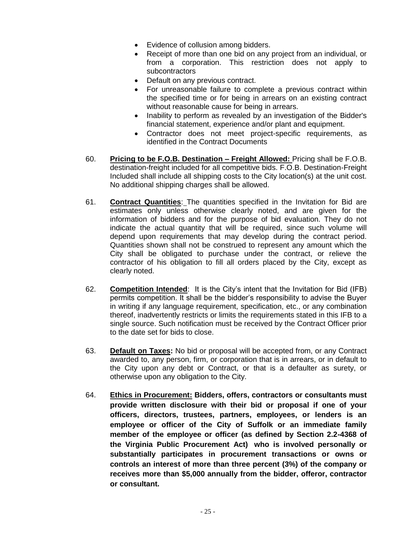- Evidence of collusion among bidders.
- Receipt of more than one bid on any project from an individual, or from a corporation. This restriction does not apply to subcontractors
- Default on any previous contract.
- For unreasonable failure to complete a previous contract within the specified time or for being in arrears on an existing contract without reasonable cause for being in arrears.
- Inability to perform as revealed by an investigation of the Bidder's financial statement, experience and/or plant and equipment.
- Contractor does not meet project-specific requirements, as identified in the Contract Documents
- 60. **Pricing to be F.O.B. Destination – Freight Allowed:** Pricing shall be F.O.B. destination-freight included for all competitive bids. F.O.B. Destination-Freight Included shall include all shipping costs to the City location(s) at the unit cost. No additional shipping charges shall be allowed.
- 61. **Contract Quantities**: The quantities specified in the Invitation for Bid are estimates only unless otherwise clearly noted, and are given for the information of bidders and for the purpose of bid evaluation. They do not indicate the actual quantity that will be required, since such volume will depend upon requirements that may develop during the contract period. Quantities shown shall not be construed to represent any amount which the City shall be obligated to purchase under the contract, or relieve the contractor of his obligation to fill all orders placed by the City, except as clearly noted.
- 62. **Competition Intended**: It is the City's intent that the Invitation for Bid (IFB) permits competition. It shall be the bidder's responsibility to advise the Buyer in writing if any language requirement, specification, etc., or any combination thereof, inadvertently restricts or limits the requirements stated in this IFB to a single source. Such notification must be received by the Contract Officer prior to the date set for bids to close.
- 63. **Default on Taxes:** No bid or proposal will be accepted from, or any Contract awarded to, any person, firm, or corporation that is in arrears, or in default to the City upon any debt or Contract, or that is a defaulter as surety, or otherwise upon any obligation to the City.
- 64. **Ethics in Procurement: Bidders, offers, contractors or consultants must provide written disclosure with their bid or proposal if one of your officers, directors, trustees, partners, employees, or lenders is an employee or officer of the City of Suffolk or an immediate family member of the employee or officer (as defined by Section 2.2-4368 of the Virginia Public Procurement Act) who is involved personally or substantially participates in procurement transactions or owns or controls an interest of more than three percent (3%) of the company or receives more than \$5,000 annually from the bidder, offeror, contractor or consultant.**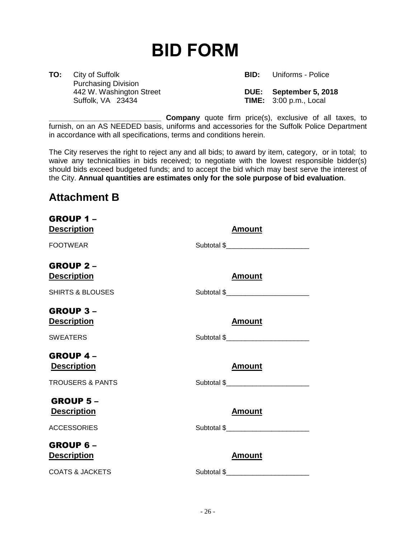# <span id="page-25-0"></span>**BID FORM**

**TO:** City of Suffolk **BID:** Uniforms - Police Purchasing Division

 442 W. Washington Street **DUE: September 5, 2018 TIME:** 3:00 p.m., Local

**Company** quote firm price(s), exclusive of all taxes, to furnish, on an AS NEEDED basis, uniforms and accessories for the Suffolk Police Department in accordance with all specifications, terms and conditions herein.

The City reserves the right to reject any and all bids; to award by item, category, or in total; to waive any technicalities in bids received; to negotiate with the lowest responsible bidder(s) should bids exceed budgeted funds; and to accept the bid which may best serve the interest of the City. **Annual quantities are estimates only for the sole purpose of bid evaluation**.

## **Attachment B**

| GROUP 1-<br><b>Description</b>        | <b>Amount</b>                            |
|---------------------------------------|------------------------------------------|
| <b>FOOTWEAR</b>                       |                                          |
| <b>GROUP 2-</b><br><b>Description</b> | <u>Amount</u>                            |
| <b>SHIRTS &amp; BLOUSES</b>           | Subtotal \$_____________________________ |
| <b>GROUP 3-</b><br><b>Description</b> | <b>Amount</b>                            |
| <b>SWEATERS</b>                       | Subtotal \$_____________________________ |
| <b>GROUP 4-</b><br><b>Description</b> | <b>Amount</b>                            |
| <b>TROUSERS &amp; PANTS</b>           | Subtotal \$                              |
| <b>GROUP 5-</b><br><b>Description</b> | <b>Amount</b>                            |
| <b>ACCESSORIES</b>                    | Subtotal \$_____________________________ |
| GROUP 6-<br><b>Description</b>        | Amount                                   |
| <b>COATS &amp; JACKETS</b>            | Subtotal \$___________________________   |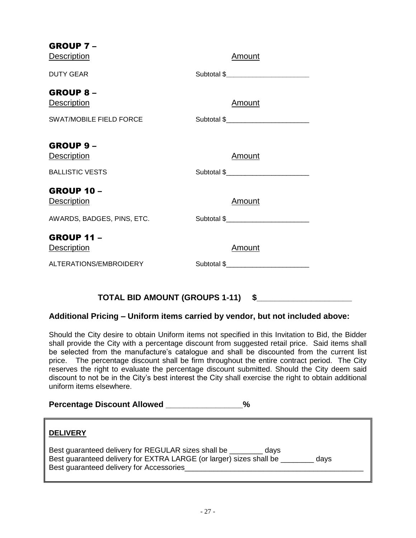| GROUP 7-                              |                                          |
|---------------------------------------|------------------------------------------|
| <b>Description</b>                    | <b>Amount</b>                            |
| <b>DUTY GEAR</b>                      | Subtotal \$                              |
| <b>GROUP 8-</b><br><b>Description</b> | Amount                                   |
|                                       |                                          |
| <b>SWAT/MOBILE FIELD FORCE</b>        | Subtotal \$____________________________  |
| <b>GROUP 9-</b>                       | <b>Amount</b>                            |
| <b>Description</b>                    |                                          |
| <b>BALLISTIC VESTS</b>                | Subtotal \$_____________________________ |
| <b>GROUP 10 -</b><br>Description      | <b>Amount</b>                            |
| AWARDS, BADGES, PINS, ETC.            |                                          |
| <b>GROUP 11 -</b>                     |                                          |
| <b>Description</b>                    | Amount                                   |
| ALTERATIONS/EMBROIDERY                | Subtotal \$                              |
|                                       |                                          |

## TOTAL BID AMOUNT (GROUPS 1-11) \$\_\_\_\_

## **Additional Pricing – Uniform items carried by vendor, but not included above:**

Should the City desire to obtain Uniform items not specified in this Invitation to Bid, the Bidder shall provide the City with a percentage discount from suggested retail price. Said items shall be selected from the manufacture's catalogue and shall be discounted from the current list price. The percentage discount shall be firm throughout the entire contract period. The City reserves the right to evaluate the percentage discount submitted. Should the City deem said discount to not be in the City's best interest the City shall exercise the right to obtain additional uniform items elsewhere.

Percentage Discount Allowed \_\_\_\_\_\_\_\_\_\_\_\_\_\_\_\_ %

## **DELIVERY**

Best guaranteed delivery for REGULAR sizes shall be \_\_\_\_\_\_\_\_ days Best guaranteed delivery for EXTRA LARGE (or larger) sizes shall be \_\_\_\_\_\_\_\_ days Best guaranteed delivery for Accessories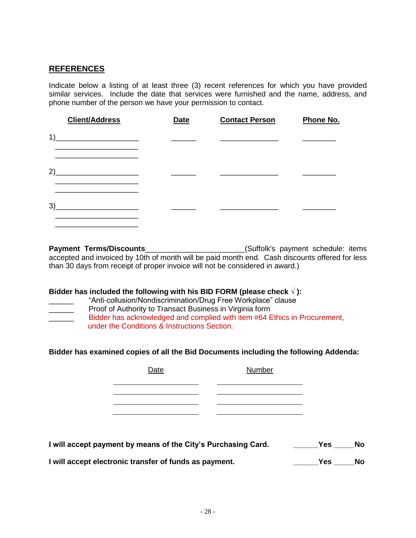## <span id="page-27-0"></span>**REFERENCES**

Indicate below a listing of at least three (3) recent references for which you have provided similar services. Include the date that services were furnished and the name, address, and phone number of the person we have your permission to contact.

|    | <b>Client/Address</b>                                                                     | <b>Date</b> | <b>Contact Person</b> | Phone No. |
|----|-------------------------------------------------------------------------------------------|-------------|-----------------------|-----------|
| 1) | the control of the control of the control of the control of the control of the control of |             |                       |           |
| 2) |                                                                                           |             |                       |           |
| 3) |                                                                                           |             |                       |           |

**Payment Terms/Discounts**<br> **Payment Terms/Discounts** accepted and invoiced by 10th of month will be paid month end. Cash discounts offered for less than 30 days from receipt of proper invoice will not be considered in award.)

#### **Bidder has included the following with his BID FORM (please check √ ):**

- "Anti-collusion/Nondiscrimination/Drug Free Workplace" clause
- **No.** Proof of Authority to Transact Business in Virginia form
- Bidder has acknowledged and complied with item #64 Ethics in Procurement, under the Conditions & Instructions Section.

**Bidder has examined copies of all the Bid Documents including the following Addenda:**

| Date | <b>Number</b> |  |
|------|---------------|--|
|      |               |  |
|      |               |  |
|      |               |  |
|      |               |  |

| I will accept payment by means of the City's Purchasing Card. | Yes No |  |
|---------------------------------------------------------------|--------|--|
|---------------------------------------------------------------|--------|--|

**I will accept electronic transfer of funds as payment. \_\_\_\_\_\_Yes \_\_\_\_\_No**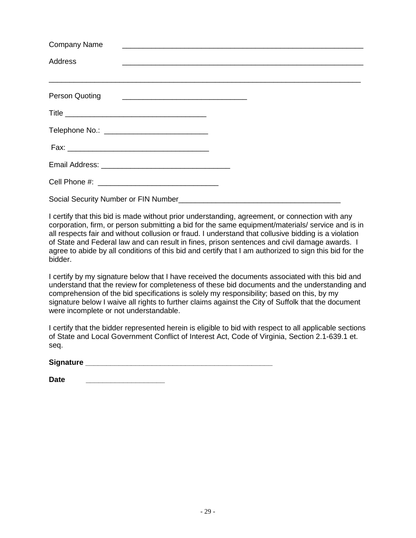| <b>Company Name</b>                                             | <u> 1989 - Johann Stoff, deutscher Stoff, deutscher Stoff, der Stoff, der Stoff, der Stoff, der Stoff, der Stoff, </u> |
|-----------------------------------------------------------------|------------------------------------------------------------------------------------------------------------------------|
| Address                                                         | <u> 1989 - Johann John Harry Harry Harry Harry Harry Harry Harry Harry Harry Harry Harry Harry Harry Harry Harry</u>   |
|                                                                 |                                                                                                                        |
| Person Quoting<br><u> 1980 - Andrea Andrew Maria (h. 1980).</u> |                                                                                                                        |
|                                                                 |                                                                                                                        |
| Telephone No.: _______________________________                  |                                                                                                                        |
|                                                                 |                                                                                                                        |
|                                                                 |                                                                                                                        |
|                                                                 |                                                                                                                        |
| Social Security Number or FIN Number                            |                                                                                                                        |

I certify that this bid is made without prior understanding, agreement, or connection with any corporation, firm, or person submitting a bid for the same equipment/materials/ service and is in all respects fair and without collusion or fraud. I understand that collusive bidding is a violation of State and Federal law and can result in fines, prison sentences and civil damage awards. I agree to abide by all conditions of this bid and certify that I am authorized to sign this bid for the bidder.

I certify by my signature below that I have received the documents associated with this bid and understand that the review for completeness of these bid documents and the understanding and comprehension of the bid specifications is solely my responsibility; based on this, by my signature below I waive all rights to further claims against the City of Suffolk that the document were incomplete or not understandable.

I certify that the bidder represented herein is eligible to bid with respect to all applicable sections of State and Local Government Conflict of Interest Act, Code of Virginia, Section 2.1-639.1 et. seq.

Signature **Latter and Signature Latter and Signature Latter and Signature Latter and Signature Latter and Signature Latter and Signature Latter and Signature Latter and Signature Latter and Signature Latt** 

| <b>Date</b> |
|-------------|
|             |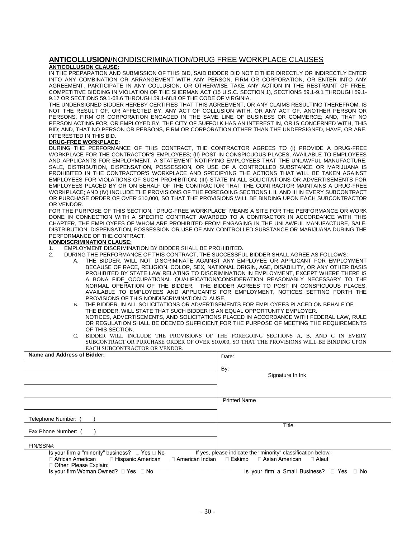#### <span id="page-29-0"></span>**ANTICOLLUSION**/NONDISCRIMINATION/DRUG FREE WORKPLACE CLAUSES **ANTICOLLUSION CLAUSE:**

IN THE PREPARATION AND SUBMISSION OF THIS BID, SAID BIDDER DID NOT EITHER DIRECTLY OR INDIRECTLY ENTER INTO ANY COMBINATION OR ARRANGEMENT WITH ANY PERSON, FIRM OR CORPORATION, OR ENTER INTO ANY AGREEMENT, PARTICIPATE IN ANY COLLUSION, OR OTHERWISE TAKE ANY ACTION IN THE RESTRAINT OF FREE, COMPETITIVE BIDDING IN VIOLATION OF THE SHERMAN ACT (15 U.S.C. SECTION 1), SECTIONS 59.1-9.1 THROUGH 59.1- 9.17 OR SECTIONS 59.1-68.6 THROUGH 59.1-68.8 OF THE CODE OF VIRGINIA.

THE UNDERSIGNED BIDDER HEREBY CERTIFIES THAT THIS AGREEMENT, OR ANY CLAIMS RESULTING THEREFROM, IS NOT THE RESULT OF, OR AFFECTED BY, ANY ACT OF COLLUSION WITH, OR ANY ACT OF, ANOTHER PERSON OR PERSONS, FIRM OR CORPORATION ENGAGED IN THE SAME LINE OF BUSINESS OR COMMERCE; AND, THAT NO PERSON ACTING FOR, OR EMPLOYED BY, THE CITY OF SUFFOLK HAS AN INTEREST IN, OR IS CONCERNED WITH, THIS BID; AND, THAT NO PERSON OR PERSONS, FIRM OR CORPORATION OTHER THAN THE UNDERSIGNED, HAVE, OR ARE, INTERESTED IN THIS BID.

#### **DRUG-FREE WORKPLACE:**

DURING THE PERFORMANCE OF THIS CONTRACT, THE CONTRACTOR AGREES TO (I) PROVIDE A DRUG-FREE WORKPLACE FOR THE CONTRACTOR'S EMPLOYEES; (II) POST IN CONSPICUOUS PLACES, AVAILABLE TO EMPLOYEES AND APPLICANTS FOR EMPLOYMENT, A STATEMENT NOTIFYING EMPLOYEES THAT THE UNLAWFUL MANUFACTURE, SALE, DISTRIBUTION, DISPENSATION, POSSESSION, OR USE OF A CONTROLLED SUBSTANCE OR MARIJUANA IS PROHIBITED IN THE CONTRACTOR'S WORKPLACE AND SPECIFYING THE ACTIONS THAT WILL BE TAKEN AGAINST EMPLOYEES FOR VIOLATIONS OF SUCH PROHIBITION; (III) STATE IN ALL SOLICITATIONS OR ADVERTISEMENTS FOR EMPLOYEES PLACED BY OR ON BEHALF OF THE CONTRACTOR THAT THE CONTRACTOR MAINTAINS A DRUG-FREE WORKPLACE; AND (IV) INCLUDE THE PROVISIONS OF THE FOREGOING SECTIONS I, II, AND III IN EVERY SUBCONTRACT OR PURCHASE ORDER OF OVER \$10,000, SO THAT THE PROVISIONS WILL BE BINDING UPON EACH SUBCONTRACTOR OR VENDOR.

FOR THE PURPOSE OF THIS SECTION, "DRUG-FREE WORKPLACE" MEANS A SITE FOR THE PERFORMANCE OR WORK DONE IN CONNECTION WITH A SPECIFIC CONTRACT AWARDED TO A CONTRACTOR IN ACCORDANCE WITH THIS CHAPTER, THE EMPLOYEES OF WHOM ARE PROHIBITED FROM ENGAGING IN THE UNLAWFUL MANUFACTURE, SALE, DISTRIBUTION, DISPENSATION, POSSESSION OR USE OF ANY CONTROLLED SUBSTANCE OR MARIJUANA DURING THE PERFORMANCE OF THE CONTRACT.

#### **NONDISCRIMINATION CLAUSE:**

- 1. EMPLOYMENT DISCRIMINATION BY BIDDER SHALL BE PROHIBITED.
- 2. DURING THE PERFORMANCE OF THIS CONTRACT, THE SUCCESSFUL BIDDER SHALL AGREE AS FOLLOWS:
	- A. THE BIDDER, WILL NOT DISCRIMINATE AGAINST ANY EMPLOYEE OR APPLICANT FOR EMPLOYMENT BECAUSE OF RACE, RELIGION, COLOR, SEX, NATIONAL ORIGIN, AGE, DISABILITY, OR ANY OTHER BASIS PROHIBITED BY STATE LAW RELATING TO DISCRIMINATION IN EMPLOYMENT, EXCEPT WHERE THERE IS A BONA FIDE OCCUPATIONAL QUALIFICATION/CONSIDERATION REASONABLY NECESSARY TO THE NORMAL OPERATION OF THE BIDDER. THE BIDDER AGREES TO POST IN CONSPICUOUS PLACES, AVAILABLE TO EMPLOYEES AND APPLICANTS FOR EMPLOYMENT, NOTICES SETTING FORTH THE PROVISIONS OF THIS NONDISCRIMINATION CLAUSE.
	- B. THE BIDDER, IN ALL SOLICITATIONS OR ADVERTISEMENTS FOR EMPLOYEES PLACED ON BEHALF OF THE BIDDER, WILL STATE THAT SUCH BIDDER IS AN EQUAL OPPORTUNITY EMPLOYER. NOTICES, ADVERTISEMENTS, AND SOLICITATIONS PLACED IN ACCORDANCE WITH FEDERAL LAW, RULE OR REGULATION SHALL BE DEEMED SUFFICIENT FOR THE PURPOSE OF MEETING THE REQUIREMENTS OF THIS SECTION.
	- C. BIDDER WILL INCLUDE THE PROVISIONS OF THE FOREGOING SECTIONS A, B, AND C IN EVERY SUBCONTRACT OR PURCHASE ORDER OF OVER \$10,000, SO THAT THE PROVISIONS WILL BE BINDING UPON EACH SUBCONTRACTOR OR VENDOR.

| Name and Address of Bidder:                                                                                                    | Date:                                                                                                                  |
|--------------------------------------------------------------------------------------------------------------------------------|------------------------------------------------------------------------------------------------------------------------|
|                                                                                                                                | By:                                                                                                                    |
|                                                                                                                                | Signature In Ink                                                                                                       |
|                                                                                                                                |                                                                                                                        |
|                                                                                                                                | <b>Printed Name</b>                                                                                                    |
| Telephone Number: (                                                                                                            |                                                                                                                        |
| Fax Phone Number: (                                                                                                            | Title                                                                                                                  |
| FIN/SSN#:                                                                                                                      |                                                                                                                        |
| Is your firm a "minority" business? $\Box$ Yes $\Box$ No<br>□ African American □ Hispanic American<br>□ Other: Please Explain: | If yes, please indicate the "minority" classification below:<br>□ American Indian □ Eskimo □ Asian American<br>□ Aleut |
| Is your firm Woman Owned? $\Box$ Yes $\Box$ No                                                                                 | Is your firm a Small Business? □ Yes □ No                                                                              |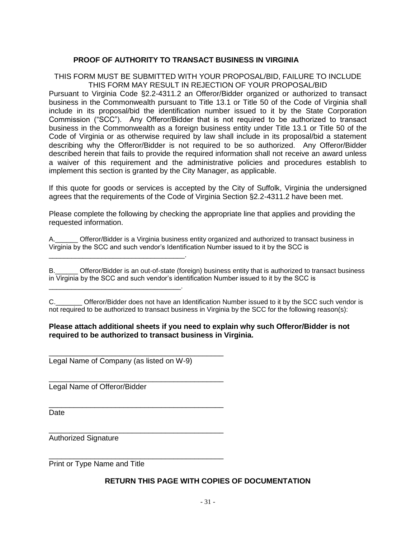## **PROOF OF AUTHORITY TO TRANSACT BUSINESS IN VIRGINIA**

## <span id="page-30-0"></span>THIS FORM MUST BE SUBMITTED WITH YOUR PROPOSAL/BID, FAILURE TO INCLUDE THIS FORM MAY RESULT IN REJECTION OF YOUR PROPOSAL/BID

Pursuant to Virginia Code §2.2-4311.2 an Offeror/Bidder organized or authorized to transact business in the Commonwealth pursuant to Title 13.1 or Title 50 of the Code of Virginia shall include in its proposal/bid the identification number issued to it by the State Corporation Commission ("SCC"). Any Offeror/Bidder that is not required to be authorized to transact business in the Commonwealth as a foreign business entity under Title 13.1 or Title 50 of the Code of Virginia or as otherwise required by law shall include in its proposal/bid a statement describing why the Offeror/Bidder is not required to be so authorized. Any Offeror/Bidder described herein that fails to provide the required information shall not receive an award unless a waiver of this requirement and the administrative policies and procedures establish to implement this section is granted by the City Manager, as applicable.

If this quote for goods or services is accepted by the City of Suffolk, Virginia the undersigned agrees that the requirements of the Code of Virginia Section §2.2-4311.2 have been met.

Please complete the following by checking the appropriate line that applies and providing the requested information.

A.\_\_\_\_\_\_ Offeror/Bidder is a Virginia business entity organized and authorized to transact business in Virginia by the SCC and such vendor's Identification Number issued to it by the SCC is

Offeror/Bidder is an out-of-state (foreign) business entity that is authorized to transact business in Virginia by the SCC and such vendor's identification Number issued to it by the SCC is

C. C. Citeror/Bidder does not have an Identification Number issued to it by the SCC such vendor is not required to be authorized to transact business in Virginia by the SCC for the following reason(s):

#### **Please attach additional sheets if you need to explain why such Offeror/Bidder is not required to be authorized to transact business in Virginia.**

Legal Name of Company (as listed on W-9)

\_\_\_\_\_\_\_\_\_\_\_\_\_\_\_\_\_\_\_\_\_\_\_\_\_\_\_\_\_\_\_\_\_\_\_\_\_\_\_\_\_\_

\_\_\_\_\_\_\_\_\_\_\_\_\_\_\_\_\_\_\_\_\_\_\_\_\_\_\_\_\_\_\_\_\_\_\_\_\_\_\_\_\_\_

\_\_\_\_\_\_\_\_\_\_\_\_\_\_\_\_\_\_\_\_\_\_\_\_\_\_\_\_\_\_\_\_\_\_\_\_\_\_\_\_\_\_

\_\_\_\_\_\_\_\_\_\_\_\_\_\_\_\_\_\_\_\_\_\_\_\_\_\_\_\_\_\_\_\_\_\_\_\_\_\_\_\_\_\_

\_\_\_\_\_\_\_\_\_\_\_\_\_\_\_\_\_\_\_\_\_\_\_\_\_\_\_\_\_\_\_\_\_\_\_\_\_\_\_\_\_\_

\_\_\_\_\_\_\_\_\_\_\_\_\_\_\_\_\_\_\_\_\_\_\_\_\_\_\_\_\_\_\_\_\_\_\_\_.

\_\_\_\_\_\_\_\_\_\_\_\_\_\_\_\_\_\_\_\_\_\_\_\_\_\_\_\_\_\_\_\_\_\_\_.

Legal Name of Offeror/Bidder

Date

Authorized Signature

Print or Type Name and Title

## **RETURN THIS PAGE WITH COPIES OF DOCUMENTATION**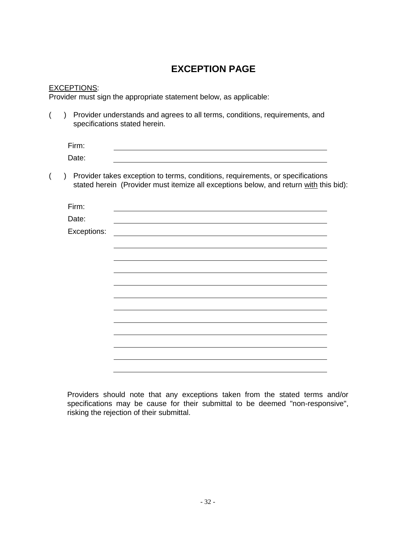## **EXCEPTION PAGE**

## <span id="page-31-0"></span>EXCEPTIONS:

Provider must sign the appropriate statement below, as applicable:

|  | ) Provider understands and agrees to all terms, conditions, requirements, and |
|--|-------------------------------------------------------------------------------|
|  | specifications stated herein.                                                 |
|  |                                                                               |

| Firm: |  |  |
|-------|--|--|
| Date: |  |  |

( ) Provider takes exception to terms, conditions, requirements, or specifications stated herein (Provider must itemize all exceptions below, and return with this bid):

| Firm:       |  |
|-------------|--|
| Date:       |  |
| Exceptions: |  |
|             |  |
|             |  |
|             |  |
|             |  |
|             |  |
|             |  |
|             |  |
|             |  |
|             |  |
|             |  |
|             |  |
|             |  |

Providers should note that any exceptions taken from the stated terms and/or specifications may be cause for their submittal to be deemed "non-responsive", risking the rejection of their submittal.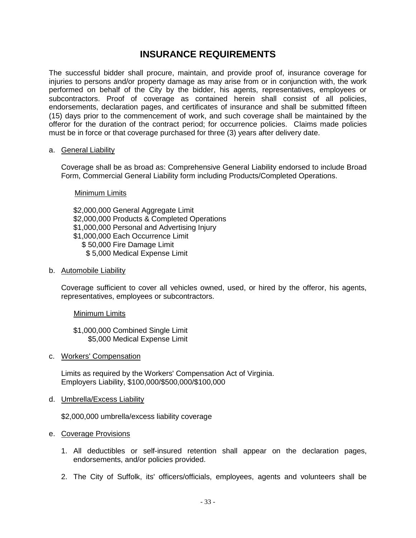## **INSURANCE REQUIREMENTS**

<span id="page-32-0"></span>The successful bidder shall procure, maintain, and provide proof of, insurance coverage for injuries to persons and/or property damage as may arise from or in conjunction with, the work performed on behalf of the City by the bidder, his agents, representatives, employees or subcontractors. Proof of coverage as contained herein shall consist of all policies, endorsements, declaration pages, and certificates of insurance and shall be submitted fifteen (15) days prior to the commencement of work, and such coverage shall be maintained by the offeror for the duration of the contract period; for occurrence policies. Claims made policies must be in force or that coverage purchased for three (3) years after delivery date.

#### a. General Liability

Coverage shall be as broad as: Comprehensive General Liability endorsed to include Broad Form, Commercial General Liability form including Products/Completed Operations.

Minimum Limits

\$2,000,000 General Aggregate Limit \$2,000,000 Products & Completed Operations \$1,000,000 Personal and Advertising Injury \$1,000,000 Each Occurrence Limit \$ 50,000 Fire Damage Limit \$ 5,000 Medical Expense Limit

b. Automobile Liability

Coverage sufficient to cover all vehicles owned, used, or hired by the offeror, his agents, representatives, employees or subcontractors.

Minimum Limits

\$1,000,000 Combined Single Limit \$5,000 Medical Expense Limit

c. Workers' Compensation

Limits as required by the Workers' Compensation Act of Virginia. Employers Liability, \$100,000/\$500,000/\$100,000

d. Umbrella/Excess Liability

\$2,000,000 umbrella/excess liability coverage

#### e. Coverage Provisions

- 1. All deductibles or self-insured retention shall appear on the declaration pages, endorsements, and/or policies provided.
- 2. The City of Suffolk, its' officers/officials, employees, agents and volunteers shall be